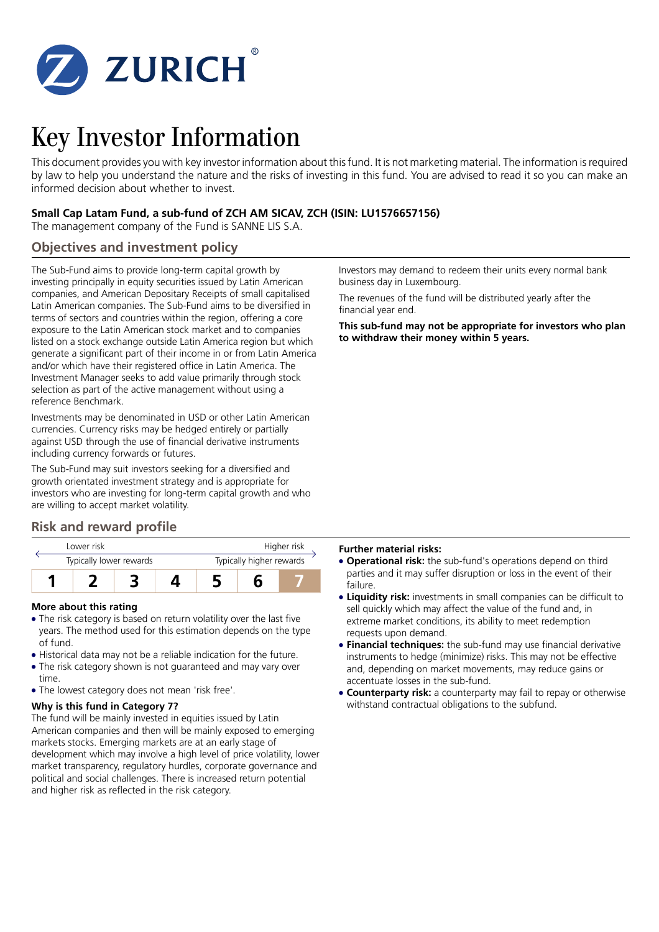

# Key Investor Information

This document provides you with key investor information about this fund. It is not marketing material. The information is required by law to help you understand the nature and the risks of investing in this fund. You are advised to read it so you can make an informed decision about whether to invest.

### **Small Cap Latam Fund, a sub-fund of ZCH AM SICAV, ZCH (ISIN: LU1576657156)**

The management company of the Fund is SANNE LIS S.A.

### **Objectives and investment policy**

The Sub-Fund aims to provide long-term capital growth by investing principally in equity securities issued by Latin American companies, and American Depositary Receipts of small capitalised Latin American companies. The Sub-Fund aims to be diversified in terms of sectors and countries within the region, offering a core exposure to the Latin American stock market and to companies listed on a stock exchange outside Latin America region but which generate a significant part of their income in or from Latin America and/or which have their registered office in Latin America. The Investment Manager seeks to add value primarily through stock selection as part of the active management without using a reference Benchmark.

Investments may be denominated in USD or other Latin American currencies. Currency risks may be hedged entirely or partially against USD through the use of financial derivative instruments including currency forwards or futures.

The Sub-Fund may suit investors seeking for a diversified and growth orientated investment strategy and is appropriate for investors who are investing for long-term capital growth and who are willing to accept market volatility.

### **Risk and reward profile**

| I ower risk<br>Typically lower rewards |  |  |  | Higher risk<br>Typically higher rewards |  |  |  |
|----------------------------------------|--|--|--|-----------------------------------------|--|--|--|
|                                        |  |  |  |                                         |  |  |  |

### **More about this rating**

- The risk category is based on return volatility over the last five years. The method used for this estimation depends on the type of fund.
- Historical data may not be a reliable indication for the future.
- The risk category shown is not guaranteed and may vary over time.
- The lowest category does not mean 'risk free'.

### **Why is this fund in Category 7?**

The fund will be mainly invested in equities issued by Latin American companies and then will be mainly exposed to emerging markets stocks. Emerging markets are at an early stage of development which may involve a high level of price volatility, lower market transparency, regulatory hurdles, corporate governance and political and social challenges. There is increased return potential and higher risk as reflected in the risk category.

Investors may demand to redeem their units every normal bank business day in Luxembourg.

The revenues of the fund will be distributed yearly after the financial year end.

**This sub-fund may not be appropriate for investors who plan to withdraw their money within 5 years.**

### **Further material risks:**

- **Operational risk:** the sub-fund's operations depend on third parties and it may suffer disruption or loss in the event of their failure.
- 5 **Liquidity risk:** investments in small companies can be difficult to sell quickly which may affect the value of the fund and, in extreme market conditions, its ability to meet redemption requests upon demand.
- **Financial techniques:** the sub-fund may use financial derivative instruments to hedge (minimize) risks. This may not be effective and, depending on market movements, may reduce gains or accentuate losses in the sub-fund.
- **Counterparty risk:** a counterparty may fail to repay or otherwise withstand contractual obligations to the subfund.